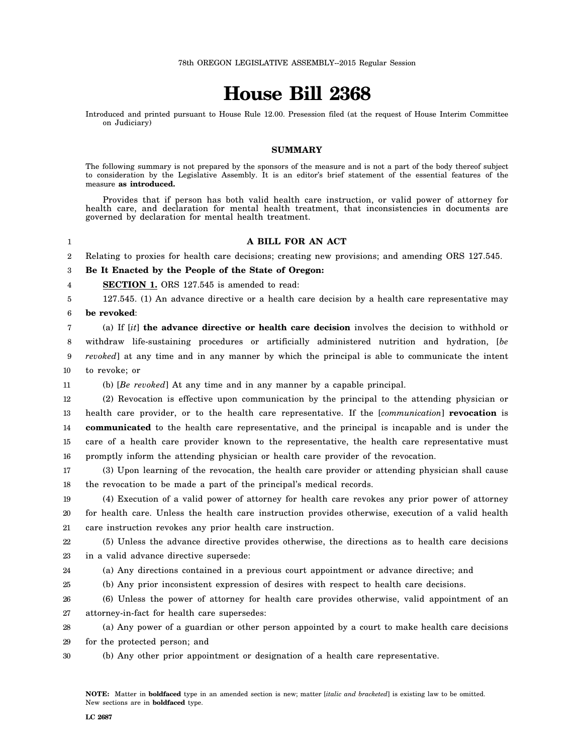## **House Bill 2368**

Introduced and printed pursuant to House Rule 12.00. Presession filed (at the request of House Interim Committee on Judiciary)

## **SUMMARY**

The following summary is not prepared by the sponsors of the measure and is not a part of the body thereof subject to consideration by the Legislative Assembly. It is an editor's brief statement of the essential features of the measure **as introduced.**

Provides that if person has both valid health care instruction, or valid power of attorney for health care, and declaration for mental health treatment, that inconsistencies in documents are governed by declaration for mental health treatment.

1

## **A BILL FOR AN ACT**

2 Relating to proxies for health care decisions; creating new provisions; and amending ORS 127.545.

3 **Be It Enacted by the People of the State of Oregon:**

4 **SECTION 1.** ORS 127.545 is amended to read:

5 6 127.545. (1) An advance directive or a health care decision by a health care representative may **be revoked**:

7 8 9 10 (a) If [*it*] **the advance directive or health care decision** involves the decision to withhold or withdraw life-sustaining procedures or artificially administered nutrition and hydration, [*be revoked*] at any time and in any manner by which the principal is able to communicate the intent to revoke; or

11 (b) [*Be revoked*] At any time and in any manner by a capable principal.

12 13 14 15 16 (2) Revocation is effective upon communication by the principal to the attending physician or health care provider, or to the health care representative. If the [*communication*] **revocation** is **communicated** to the health care representative, and the principal is incapable and is under the care of a health care provider known to the representative, the health care representative must promptly inform the attending physician or health care provider of the revocation.

17 18 (3) Upon learning of the revocation, the health care provider or attending physician shall cause the revocation to be made a part of the principal's medical records.

19 20 21 (4) Execution of a valid power of attorney for health care revokes any prior power of attorney for health care. Unless the health care instruction provides otherwise, execution of a valid health care instruction revokes any prior health care instruction.

22 23 (5) Unless the advance directive provides otherwise, the directions as to health care decisions in a valid advance directive supersede:

24 (a) Any directions contained in a previous court appointment or advance directive; and

25 (b) Any prior inconsistent expression of desires with respect to health care decisions.

26 27 (6) Unless the power of attorney for health care provides otherwise, valid appointment of an attorney-in-fact for health care supersedes:

28 (a) Any power of a guardian or other person appointed by a court to make health care decisions

29 for the protected person; and

30 (b) Any other prior appointment or designation of a health care representative.